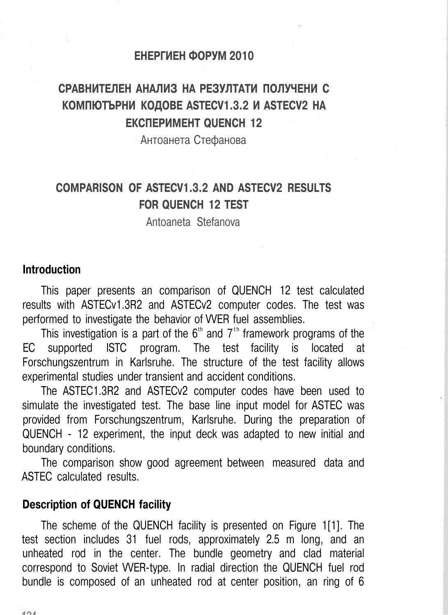#### **ЕНЕРГИЕН ФОРУМ 2010**

# **СРАВНИТЕЛЕН АНАЛИЗ НА РЕЗУЛТАТИ ПОЛУЧЕНИ С КОМПЮТЪРНИ КОДОВЕ ASTECV1.3.2 И ASTECV2 НА ЕКСПЕРИМЕНТ QUENCH 12**

Антоанета Стефанова

# **COMPARISON OF ASTECV1.3.2 AND ASTECV2 RESULTS FOR QUENCH 12 TEST**

Antoaneta Stefanova

### **Introduction**

This paper presents an comparison of QUENCH 12 test calculated results with ASTECv1.3R2 and ASTECv2 computer codes. The test was performed to investigate the behavior of VVER fuel assemblies.

This investigation is a part of the  $6<sup>th</sup>$  and  $7<sup>th</sup>$  framework programs of the EC supported ISTC program. The test facility is located at Forschungszentrum in Karlsruhe. The structure of the test facility allows experimental studies under transient and accident conditions.

The ASTEC1.3R2 and ASTECv2 computer codes have been used to simulate the investigated test. The base line input model for ASTEC was provided from Forschungszentrum, Karlsruhe. During the preparation of QUENCH - 12 experiment, the input deck was adapted to new initial and boundary conditions.

The comparison show good agreement between measured data and ASTEC calculated results.

## **Description of QUENCH facility**

The scheme of the QUENCH facility is presented on Figure 1[1]. The test section includes 31 fuel rods, approximately 2.5 m long, and an unheated rod in the center. The bundle geometry and clad material correspond to Soviet VVER-type. In radial direction the QUENCH fuel rod bundle is composed of an unheated rod at center position, an ring of 6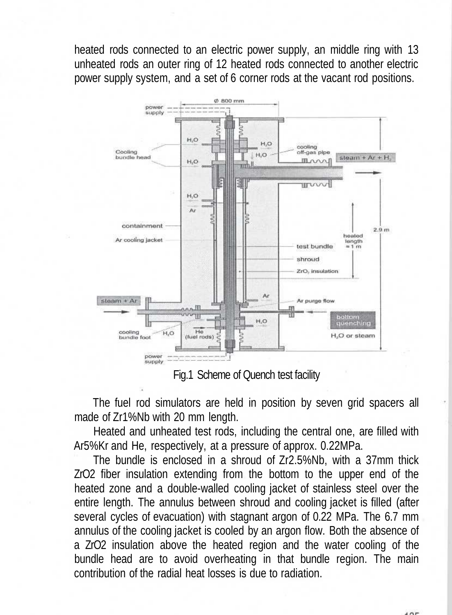heated rods connected to an electric power supply, an middle ring with 13 unheated rods an outer ring of 12 heated rods connected to another electric power supply system, and a set of 6 corner rods at the vacant rod positions.



Fig.1 Scheme of Quench test facility

The fuel rod simulators are held in position by seven grid spacers all made of Zr1%Nb with 20 mm length.

Heated and unheated test rods, including the central one, are filled with Ar5%Kr and He, respectively, at a pressure of approx. 0.22MPa.

The bundle is enclosed in a shroud of Zr2.5%Nb, with a 37mm thick ZrO2 fiber insulation extending from the bottom to the upper end of the heated zone and a double-walled cooling jacket of stainless steel over the entire length. The annulus between shroud and cooling jacket is filled (after several cycles of evacuation) with stagnant argon of 0.22 MPa. The 6.7 mm annulus of the cooling jacket is cooled by an argon flow. Both the absence of a ZrO2 insulation above the heated region and the water cooling of the bundle head are to avoid overheating in that bundle region. The main contribution of the radial heat losses is due to radiation.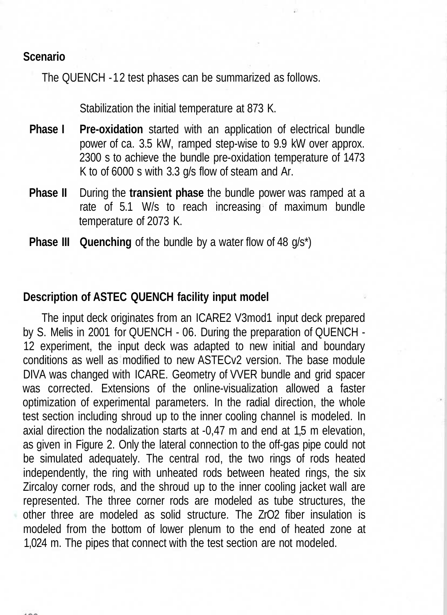## **Scenario**

The QUENCH -12 test phases can be summarized as follows.

Stabilization the initial temperature at 873 K.

- **Phase I** Pre-oxidation started with an application of electrical bundle power of ca. 3.5 kW, ramped step-wise to 9.9 kW over approx. 2300 s to achieve the bundle pre-oxidation temperature of 1473 K to of 6000 s with 3.3 g/s flow of steam and Ar.
- **Phase II** During the **transient phase** the bundle power was ramped at a rate of 5.1 W/s to reach increasing of maximum bundle temperature of 2073 K.
- **Phase III** Quenching of the bundle by a water flow of 48 g/s<sup>\*</sup>)

## **Description of ASTEC QUENCH facility input model**

The input deck originates from an ICARE2 V3mod1 input deck prepared by S. Melis in 2001 for QUENCH - 06. During the preparation of QUENCH - 12 experiment, the input deck was adapted to new initial and boundary conditions as well as modified to new ASTECv2 version. The base module DIVA was changed with ICARE. Geometry of VVER bundle and grid spacer was corrected. Extensions of the online-visualization allowed a faster optimization of experimental parameters. In the radial direction, the whole test section including shroud up to the inner cooling channel is modeled. In axial direction the nodalization starts at -0,47 m and end at 1,5 m elevation, as given in Figure 2. Only the lateral connection to the off-gas pipe could not be simulated adequately. The central rod, the two rings of rods heated independently, the ring with unheated rods between heated rings, the six Zircaloy corner rods, and the shroud up to the inner cooling jacket wall are represented. The three corner rods are modeled as tube structures, the other three are modeled as solid structure. The ZrO2 fiber insulation is modeled from the bottom of lower plenum to the end of heated zone at 1,024 m. The pipes that connect with the test section are not modeled.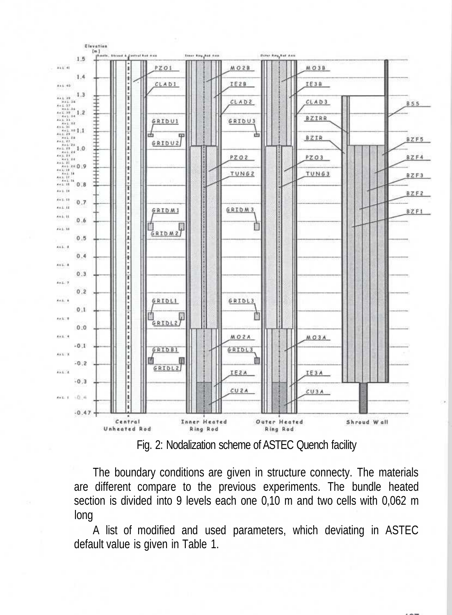

Fig. 2: Nodalization scheme of ASTEC Quench facility

The boundary conditions are given in structure connecty. The materials are different compare to the previous experiments. The bundle heated section is divided into 9 levels each one 0,10 m and two cells with 0,062 m long

A list of modified and used parameters, which deviating in ASTEC default value is given in Table 1.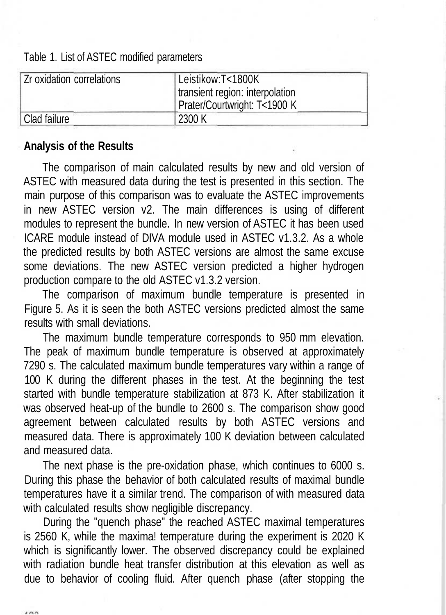Table 1. List of ASTEC modified parameters

| Zr oxidation correlations | Leistikow:T<1800K<br>transient region: interpolation<br>Prater/Courtwright: T<1900 K |  |
|---------------------------|--------------------------------------------------------------------------------------|--|
| Clad failure              | 2300 K                                                                               |  |

## **Analysis of the Results**

The comparison of main calculated results by new and old version of ASTEC with measured data during the test is presented in this section. The main purpose of this comparison was to evaluate the ASTEC improvements in new ASTEC version v2. The main differences is using of different modules to represent the bundle. In new version of ASTEC it has been used ICARE module instead of DIVA module used in ASTEC v1.3.2. As a whole the predicted results by both ASTEC versions are almost the same excuse some deviations. The new ASTEC version predicted a higher hydrogen production compare to the old ASTEC v1.3.2 version.

The comparison of maximum bundle temperature is presented in Figure 5. As it is seen the both ASTEC versions predicted almost the same results with small deviations.

The maximum bundle temperature corresponds to 950 mm elevation. The peak of maximum bundle temperature is observed at approximately 7290 s. The calculated maximum bundle temperatures vary within a range of 100 K during the different phases in the test. At the beginning the test started with bundle temperature stabilization at 873 K. After stabilization it was observed heat-up of the bundle to 2600 s. The comparison show good agreement between calculated results by both ASTEC versions and measured data. There is approximately 100 K deviation between calculated and measured data.

The next phase is the pre-oxidation phase, which continues to 6000 s. During this phase the behavior of both calculated results of maximal bundle temperatures have it a similar trend. The comparison of with measured data with calculated results show negligible discrepancy.

During the "quench phase" the reached ASTEC maximal temperatures is 2560 K, while the maxima! temperature during the experiment is 2020 K which is significantly lower. The observed discrepancy could be explained with radiation bundle heat transfer distribution at this elevation as well as due to behavior of cooling fluid. After quench phase (after stopping the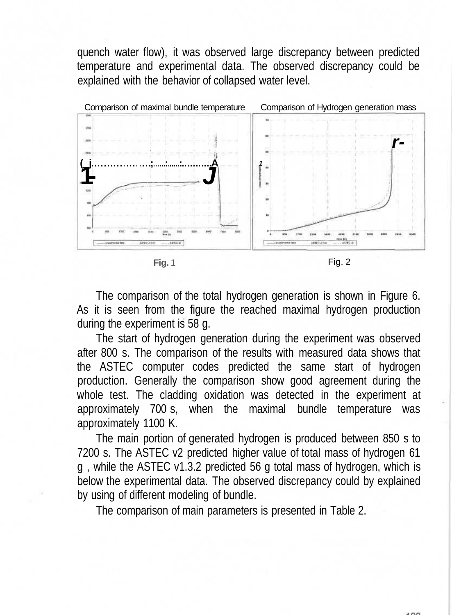quench water flow), it was observed large discrepancy between predicted temperature and experimental data. The observed discrepancy could be explained with the behavior of collapsed water level.



**Fig.** 1 **Fig.** 2

The comparison of the total hydrogen generation is shown in Figure 6. As it is seen from the figure the reached maximal hydrogen production during the experiment is 58 g.

The start of hydrogen generation during the experiment was observed after 800 s. The comparison of the results with measured data shows that the ASTEC computer codes predicted the same start of hydrogen production. Generally the comparison show good agreement during the whole test. The cladding oxidation was detected in the experiment at approximately 700 s, when the maximal bundle temperature was approximately 1100 K.

The main portion of generated hydrogen is produced between 850 s to 7200 s. The ASTEC v2 predicted higher value of total mass of hydrogen 61 g , while the ASTEC v1.3.2 predicted 56 g total mass of hydrogen, which is below the experimental data. The observed discrepancy could by explained by using of different modeling of bundle.

The comparison of main parameters is presented in Table 2.